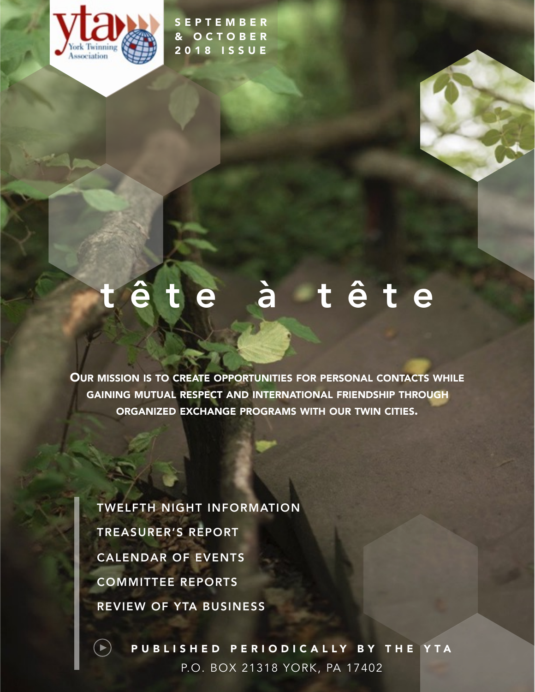

SEPTEMBER & OCTOBER 2018 ISSUE

# tête à tête

OUR MISSION IS TO CREATE OPPORTUNITIES FOR PERSONAL CONTACTS WHILE GAINING MUTUAL RESPECT AND INTERNATIONAL FRIENDSHIP THROUGH ORGANIZED EXCHANGE PROGRAMS WITH OUR TWIN CITIES.

TREASURER'S REPORT TWELFTH NIGHT INFORMATION CALENDAR OF EVENTS COMMITTEE REPORTS REVIEW OF YTA BUSINESS

 $\blacktriangleright)$ 

PUBLISHED PERIODICALLY BY THE YTA P.O. BOX 21318 YORK, PA 17402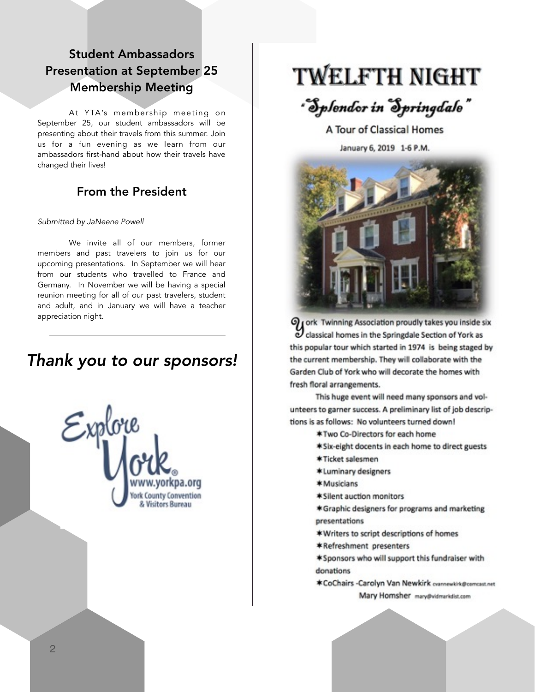## Student Ambassadors Presentation at September 25 Membership Meeting

At YTA's membership meeting on September 25, our student ambassadors will be presenting about their travels from this summer. Join us for a fun evening as we learn from our ambassadors first-hand about how their travels have changed their lives!

## From the President

#### *Submitted by JaNeene Powell*

We invite all of our members, former members and past travelers to join us for our upcoming presentations. In September we will hear from our students who travelled to France and Germany. In November we will be having a special reunion meeting for all of our past travelers, student and adult, and in January we will have a teacher appreciation night.

## *Thank you to our sponsors!*



## **TWELFTH NIGHT**

## "Splendor in Springdale"

A Tour of Classical Homes

January 6, 2019 1-6 P.M.



Of ork Twinning Association proudly takes you inside six classical homes in the Springdale Section of York as this popular tour which started in 1974 is being staged by the current membership. They will collaborate with the Garden Club of York who will decorate the homes with fresh floral arrangements.

This huge event will need many sponsors and volunteers to garner success. A preliminary list of job descriptions is as follows: No volunteers turned down!

- \*Two Co-Directors for each home
- \*Six-eight docents in each home to direct guests
- \*Ticket salesmen
- \*Luminary designers
- \*Musicians
- \*Silent auction monitors
- \*Graphic designers for programs and marketing presentations
- \*Writers to script descriptions of homes
- \*Refreshment presenters
- \*Sponsors who will support this fundraiser with donations
- \*CoChairs -Carolyn Van Newkirk crannewkirk@comcast.net Mary Homsher mary@vidmarkdist.com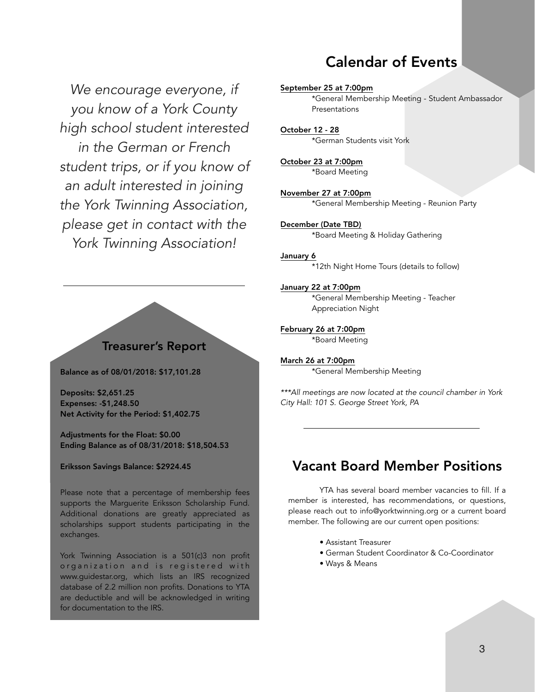## Calendar of Events

*We encourage everyone, if you know of a York County high school student interested in the German or French student trips, or if you know of an adult interested in joining the York Twinning Association, please get in contact with the York Twinning Association!*

### Treasurer's Report

Balance as of 08/01/2018: \$17,101.28

Deposits: \$2,651.25 Expenses: -\$1,248.50 Net Activity for the Period: \$1,402.75

Adjustments for the Float: \$0.00 Ending Balance as of 08/31/2018: \$18,504.53

#### Eriksson Savings Balance: \$2924.45

Please note that a percentage of membership fees supports the Marguerite Eriksson Scholarship Fund. Additional donations are greatly appreciated as scholarships support students participating in the exchanges.

York Twinning Association is a 501(c)3 non profit organization and is registered with www.guidestar.org, which lists an IRS recognized database of 2.2 million non profits. Donations to YTA are deductible and will be acknowledged in writing for documentation to the IRS.

September 25 at 7:00pm \*General Membership Meeting - Student Ambassador Presentations

October 12 - 28 \*German Students visit York

October 23 at 7:00pm \*Board Meeting

November 27 at 7:00pm \*General Membership Meeting - Reunion Party

December (Date TBD) \*Board Meeting & Holiday Gathering

#### January 6

\*12th Night Home Tours (details to follow)

January 22 at 7:00pm \*General Membership Meeting - Teacher Appreciation Night

February 26 at 7:00pm \*Board Meeting

March 26 at 7:00pm \*General Membership Meeting

*\*\*\*All meetings are now located at the council chamber in York City Hall: 101 S. George Street York, PA* 

## Vacant Board Member Positions

YTA has several board member vacancies to fill. If a member is interested, has recommendations, or questions, please reach out to [info@yorktwinning.org](mailto:info@yorktwinning.org) or a current board member. The following are our current open positions:

- Assistant Treasurer
- German Student Coordinator & Co-Coordinator
- Ways & Means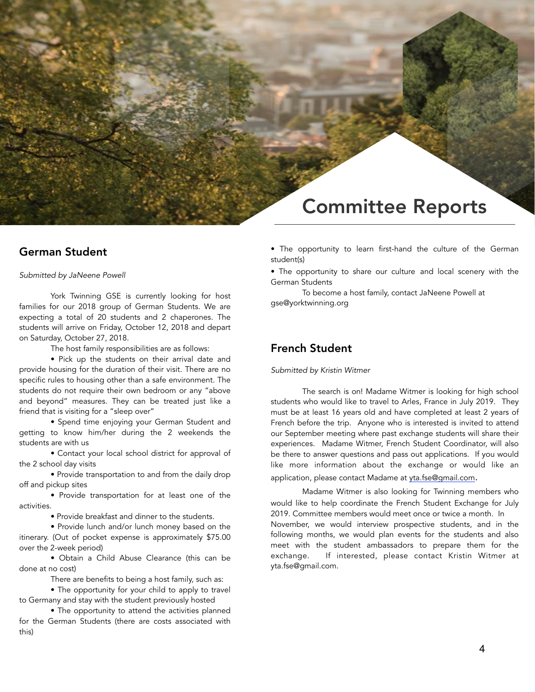## Committee Reports

#### German Student

#### *Submitted by JaNeene Powell*

York Twinning GSE is currently looking for host families for our 2018 group of German Students. We are expecting a total of 20 students and 2 chaperones. The students will arrive on Friday, October 12, 2018 and depart on Saturday, October 27, 2018.

The host family responsibilities are as follows:

 • Pick up the students on their arrival date and provide housing for the duration of their visit. There are no specific rules to housing other than a safe environment. The students do not require their own bedroom or any "above and beyond" measures. They can be treated just like a friend that is visiting for a "sleep over"

 • Spend time enjoying your German Student and getting to know him/her during the 2 weekends the students are with us

 • Contact your local school district for approval of the 2 school day visits

 • Provide transportation to and from the daily drop off and pickup sites

 • Provide transportation for at least one of the activities.

• Provide breakfast and dinner to the students.

 • Provide lunch and/or lunch money based on the itinerary. (Out of pocket expense is approximately \$75.00 over the 2-week period)

 • Obtain a Child Abuse Clearance (this can be done at no cost)

There are benefits to being a host family, such as:

 • The opportunity for your child to apply to travel to Germany and stay with the student previously hosted

 • The opportunity to attend the activities planned for the German Students (there are costs associated with this)

• The opportunity to learn first-hand the culture of the German student(s)

• The opportunity to share our culture and local scenery with the German Students

 To become a host family, contact JaNeene Powell at gse@yorktwinning.org

#### French Student

#### *Submitted by Kristin Witmer*

The search is on! Madame Witmer is looking for high school students who would like to travel to Arles, France in July 2019. They must be at least 16 years old and have completed at least 2 years of French before the trip. Anyone who is interested is invited to attend our September meeting where past exchange students will share their experiences. Madame Witmer, French Student Coordinator, will also be there to answer questions and pass out applications. If you would like more information about the exchange or would like an application, please contact Madame at [yta.fse@gmail.com.](mailto:yta.fse@gmail.com)

Madame Witmer is also looking for Twinning members who would like to help coordinate the French Student Exchange for July 2019. Committee members would meet once or twice a month. In November, we would interview prospective students, and in the following months, we would plan events for the students and also meet with the student ambassadors to prepare them for the exchange. If interested, please contact Kristin Witmer at yta.fse@gmail.com.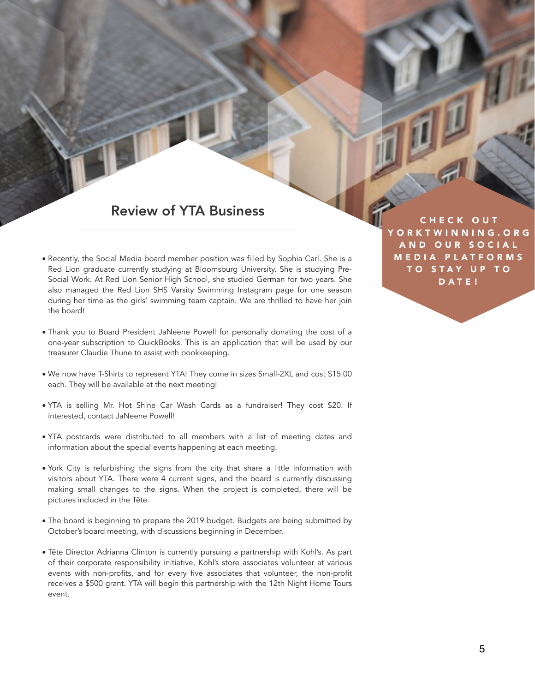## Review of YTA Business

- Recently, the Social Media board member position was filled by Sophia Carl. She is a Red Lion graduate currently studying at Bloomsburg University. She is studying Pre-Social Work. At Red Lion Senior High School, she studied German for two years. She also managed the Red Lion SHS Varsity Swimming Instagram page for one season during her time as the girls' swimming team captain. We are thrilled to have her join the board!
- Thank you to Board President JaNeene Powell for personally donating the cost of a one-year subscription to QuickBooks. This is an application that will be used by our treasurer Claudie Thune to assist with bookkeeping.
- We now have T-Shirts to represent YTA! They come in sizes Small-2XL and cost \$15.00 each. They will be available at the next meeting!
- YTA is selling Mr. Hot Shine Car Wash Cards as a fundraiser! They cost \$20. If interested, contact JaNeene Powell!
- YTA postcards were distributed to all members with a list of meeting dates and information about the special events happening at each meeting.
- York City is refurbishing the signs from the city that share a little information with visitors about YTA. There were 4 current signs, and the board is currently discussing making small changes to the signs. When the project is completed, there will be pictures included in the Tête.
- The board is beginning to prepare the 2019 budget. Budgets are being submitted by October's board meeting, with discussions beginning in December.
- Tête Director Adrianna Clinton is currently pursuing a partnership with Kohl's. As part of their corporate responsibility initiative, Kohl's store associates volunteer at various events with non-profits, and for every five associates that volunteer, the non-profit receives a \$500 grant. YTA will begin this partnership with the 12th Night Home Tours event.

**HECK OUT** ORKTWINNING.ORG AND OUR SOCIAL MEDIA PLATFORMS TO STAY UP TO DATE!